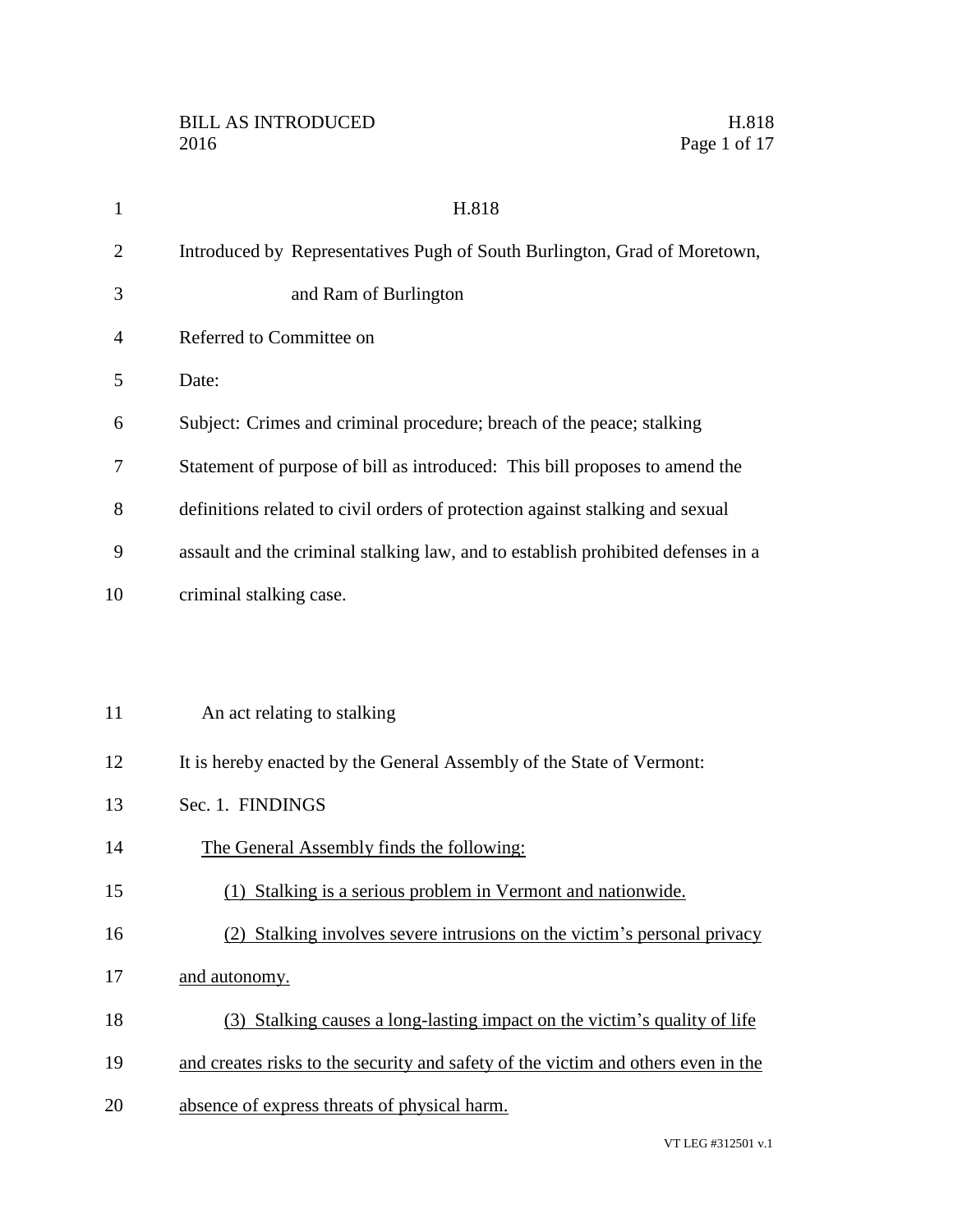| $\mathbf{1}$   | H.818                                                                             |
|----------------|-----------------------------------------------------------------------------------|
| $\overline{2}$ | Introduced by Representatives Pugh of South Burlington, Grad of Moretown,         |
| 3              | and Ram of Burlington                                                             |
| 4              | Referred to Committee on                                                          |
| 5              | Date:                                                                             |
| 6              | Subject: Crimes and criminal procedure; breach of the peace; stalking             |
| 7              | Statement of purpose of bill as introduced: This bill proposes to amend the       |
| 8              | definitions related to civil orders of protection against stalking and sexual     |
| 9              | assault and the criminal stalking law, and to establish prohibited defenses in a  |
| 10             | criminal stalking case.                                                           |
|                |                                                                                   |
|                |                                                                                   |
| 11             | An act relating to stalking                                                       |
| 12             | It is hereby enacted by the General Assembly of the State of Vermont:             |
| 13             | Sec. 1. FINDINGS                                                                  |
| 14             | The General Assembly finds the following:                                         |
| 15             | (1) Stalking is a serious problem in Vermont and nationwide.                      |
| 16             | (2) Stalking involves severe intrusions on the victim's personal privacy          |
| 17             | and autonomy.                                                                     |
| 18             | (3) Stalking causes a long-lasting impact on the victim's quality of life         |
| 19             | and creates risks to the security and safety of the victim and others even in the |
| 20             | absence of express threats of physical harm.                                      |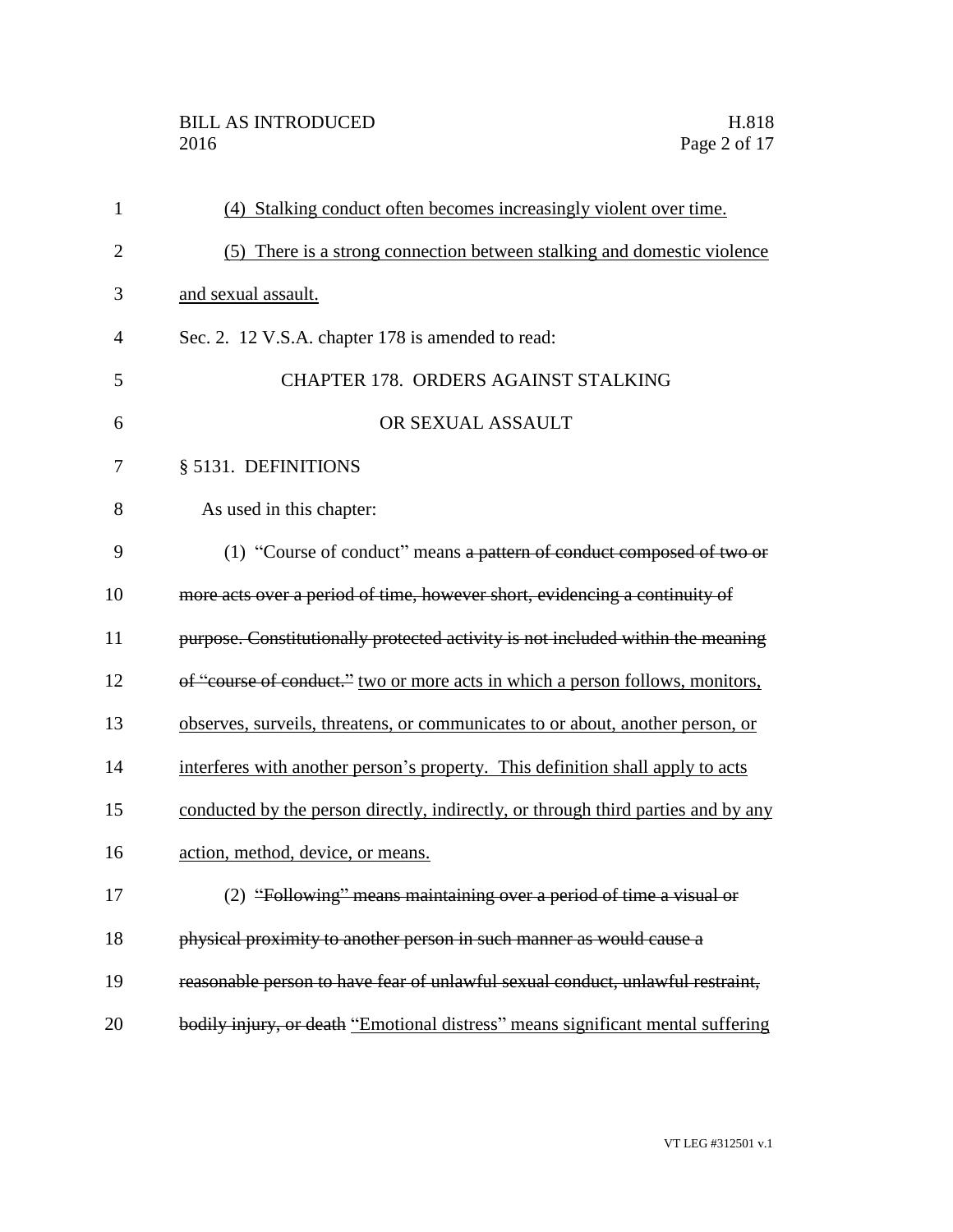# BILL AS INTRODUCED H.818<br>2016 Page 2 of 17

| $\mathbf{1}$   | (4) Stalking conduct often becomes increasingly violent over time.                |
|----------------|-----------------------------------------------------------------------------------|
| $\overline{2}$ | (5) There is a strong connection between stalking and domestic violence           |
| 3              | and sexual assault.                                                               |
| $\overline{4}$ | Sec. 2. 12 V.S.A. chapter 178 is amended to read:                                 |
| 5              | <b>CHAPTER 178. ORDERS AGAINST STALKING</b>                                       |
| 6              | OR SEXUAL ASSAULT                                                                 |
| 7              | § 5131. DEFINITIONS                                                               |
| 8              | As used in this chapter:                                                          |
| 9              | (1) "Course of conduct" means a pattern of conduct composed of two or             |
| 10             | more acts over a period of time, however short, evidencing a continuity of        |
| 11             | purpose. Constitutionally protected activity is not included within the meaning   |
| 12             | of "course of conduct." two or more acts in which a person follows, monitors,     |
| 13             | observes, surveils, threatens, or communicates to or about, another person, or    |
| 14             | interferes with another person's property. This definition shall apply to acts    |
| 15             | conducted by the person directly, indirectly, or through third parties and by any |
| 16             | action, method, device, or means.                                                 |
| 17             | (2) "Following" means maintaining over a period of time a visual or               |
| 18             | physical proximity to another person in such manner as would cause a              |
| 19             | reasonable person to have fear of unlawful sexual conduct, unlawful restraint,    |
| 20             | bodily injury, or death "Emotional distress" means significant mental suffering   |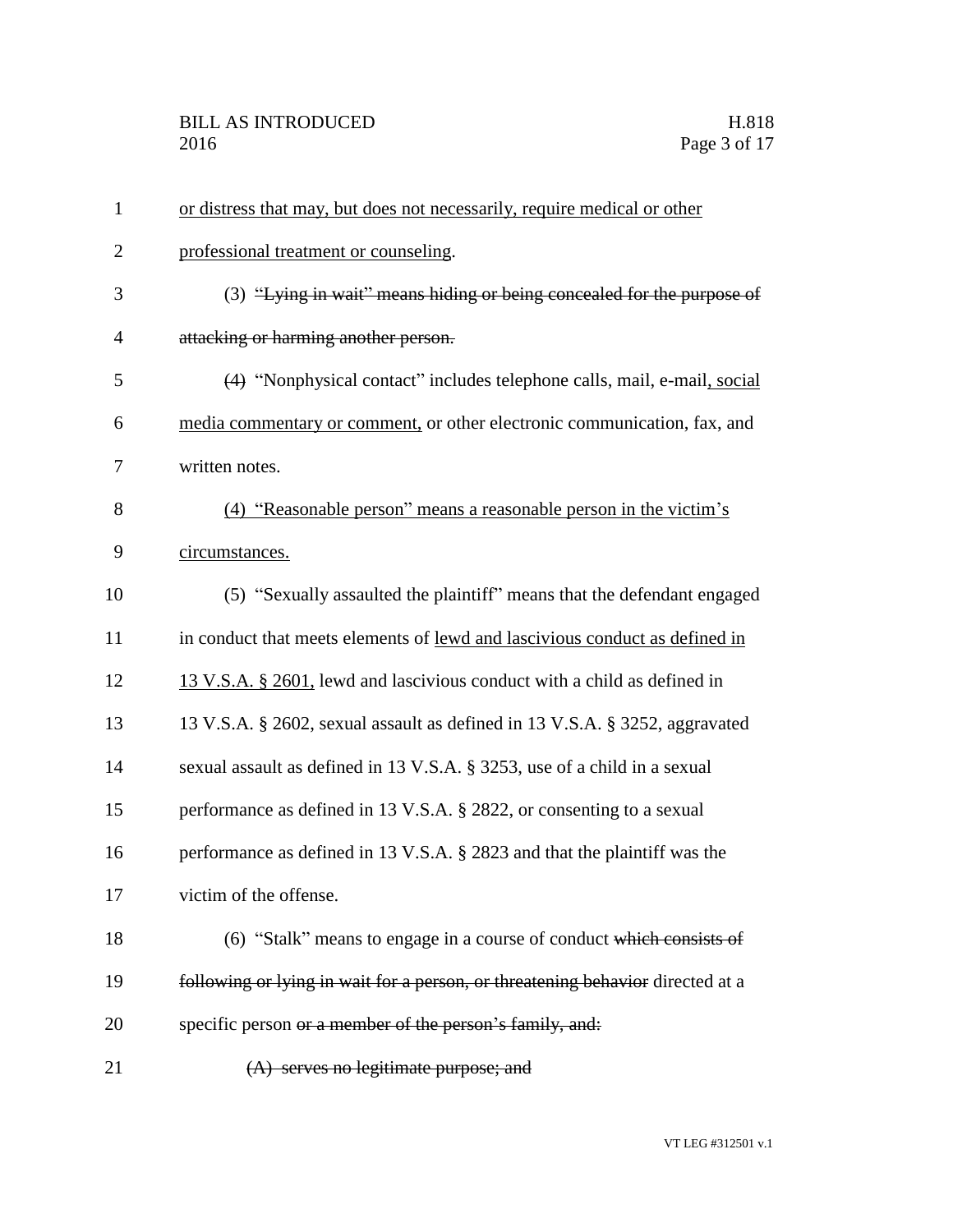| $\mathbf{1}$   | or distress that may, but does not necessarily, require medical or other       |
|----------------|--------------------------------------------------------------------------------|
| $\overline{2}$ | professional treatment or counseling.                                          |
| 3              | (3) "Lying in wait" means hiding or being concealed for the purpose of         |
| 4              | attacking or harming another person.                                           |
| 5              | (4) "Nonphysical contact" includes telephone calls, mail, e-mail, social       |
| 6              | media commentary or comment, or other electronic communication, fax, and       |
| 7              | written notes.                                                                 |
| 8              | (4) "Reasonable person" means a reasonable person in the victim's              |
| 9              | circumstances.                                                                 |
| 10             | (5) "Sexually assaulted the plaintiff" means that the defendant engaged        |
| 11             | in conduct that meets elements of lewd and lascivious conduct as defined in    |
| 12             | 13 V.S.A. § 2601, lewd and lascivious conduct with a child as defined in       |
| 13             | 13 V.S.A. § 2602, sexual assault as defined in 13 V.S.A. § 3252, aggravated    |
| 14             | sexual assault as defined in 13 V.S.A. § 3253, use of a child in a sexual      |
| 15             | performance as defined in 13 V.S.A. § 2822, or consenting to a sexual          |
| 16             | performance as defined in 13 V.S.A. § 2823 and that the plaintiff was the      |
| 17             | victim of the offense.                                                         |
| 18             | (6) "Stalk" means to engage in a course of conduct which consists of           |
| 19             | following or lying in wait for a person, or threatening behavior directed at a |
| 20             | specific person or a member of the person's family, and:                       |
| 21             | (A) serves no legitimate purpose; and                                          |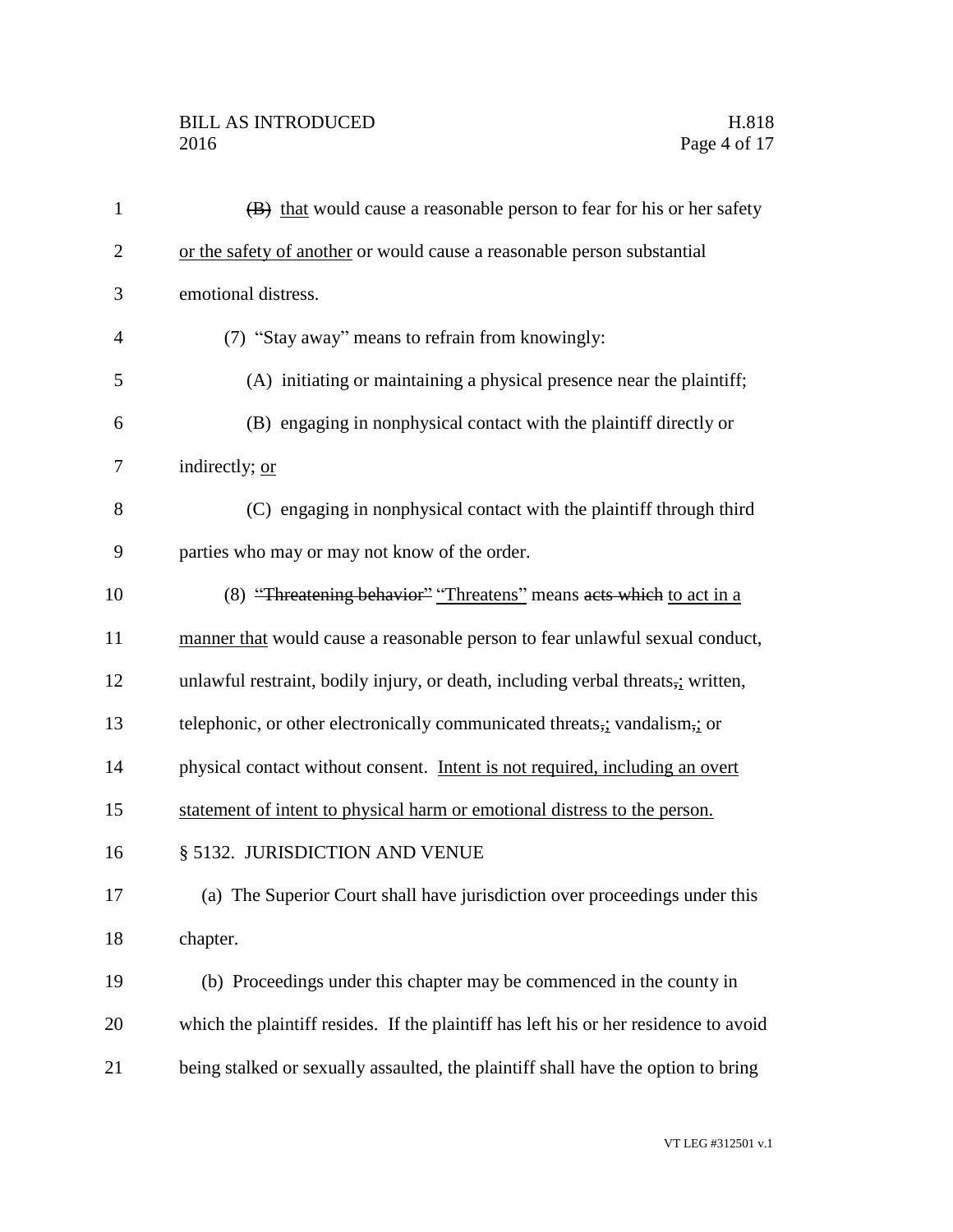# BILL AS INTRODUCED H.818<br>2016 Page 4 of 17

| $\mathbf{1}$   | (B) that would cause a reasonable person to fear for his or her safety               |
|----------------|--------------------------------------------------------------------------------------|
| $\overline{2}$ | or the safety of another or would cause a reasonable person substantial              |
| 3              | emotional distress.                                                                  |
| $\overline{4}$ | (7) "Stay away" means to refrain from knowingly:                                     |
| 5              | (A) initiating or maintaining a physical presence near the plaintiff;                |
| 6              | (B) engaging in nonphysical contact with the plaintiff directly or                   |
| 7              | indirectly; or                                                                       |
| 8              | (C) engaging in nonphysical contact with the plaintiff through third                 |
| 9              | parties who may or may not know of the order.                                        |
| 10             | (8) "Threatening behavior" "Threatens" means acts which to act in a                  |
| 11             | manner that would cause a reasonable person to fear unlawful sexual conduct,         |
| 12             | unlawful restraint, bodily injury, or death, including verbal threats, written,      |
| 13             | telephonic, or other electronically communicated threats, vandalism, or              |
| 14             | physical contact without consent. Intent is not required, including an overt         |
| 15             | statement of intent to physical harm or emotional distress to the person.            |
| 16             | § 5132. JURISDICTION AND VENUE                                                       |
| 17             | (a) The Superior Court shall have jurisdiction over proceedings under this           |
| 18             | chapter.                                                                             |
| 19             | (b) Proceedings under this chapter may be commenced in the county in                 |
| 20             | which the plaintiff resides. If the plaintiff has left his or her residence to avoid |
| 21             | being stalked or sexually assaulted, the plaintiff shall have the option to bring    |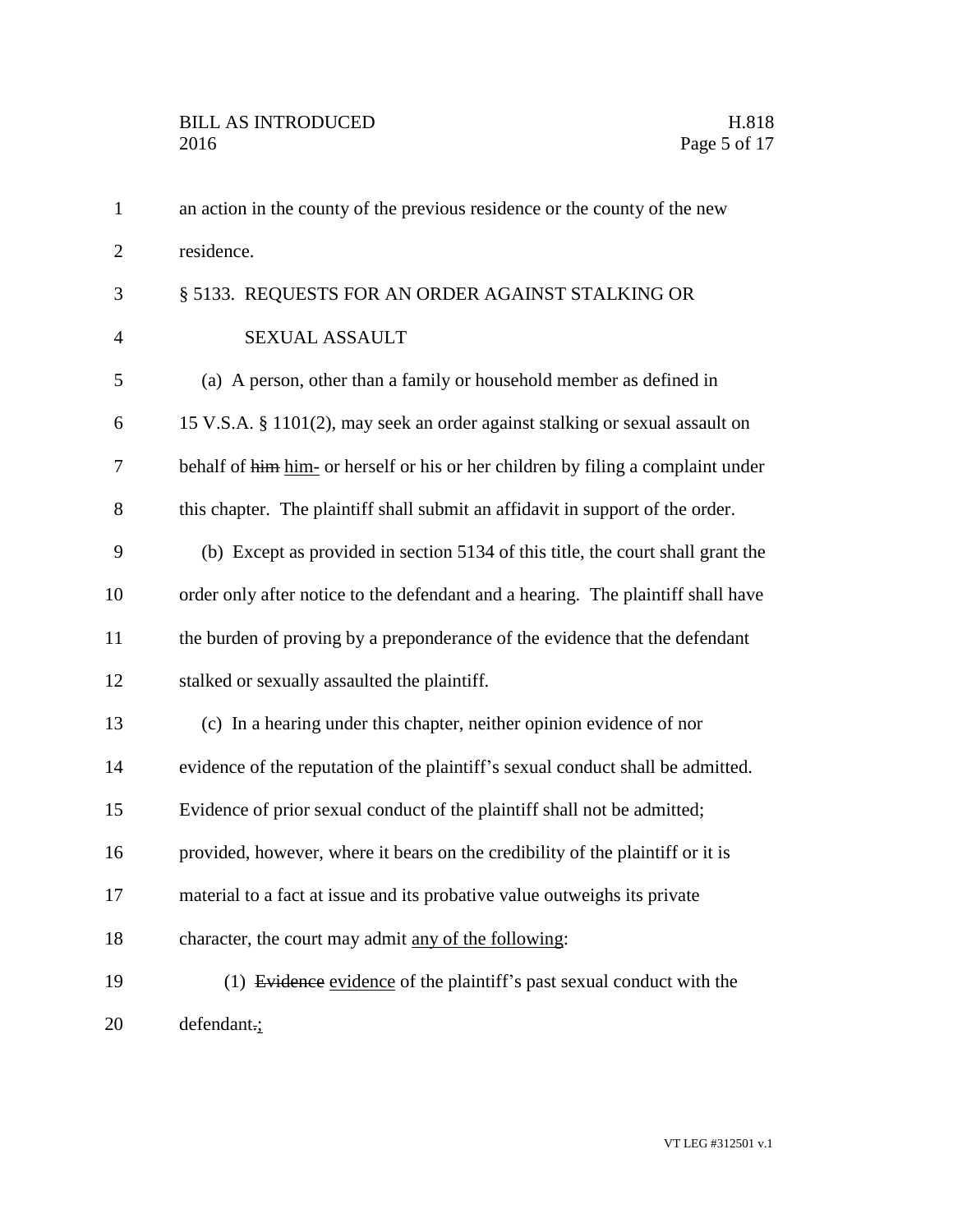| $\mathbf{1}$   | an action in the county of the previous residence or the county of the new       |
|----------------|----------------------------------------------------------------------------------|
| $\overline{2}$ | residence.                                                                       |
| 3              | § 5133. REQUESTS FOR AN ORDER AGAINST STALKING OR                                |
| $\overline{4}$ | SEXUAL ASSAULT                                                                   |
| 5              | (a) A person, other than a family or household member as defined in              |
| 6              | 15 V.S.A. § 1101(2), may seek an order against stalking or sexual assault on     |
| 7              | behalf of him him- or herself or his or her children by filing a complaint under |
| 8              | this chapter. The plaintiff shall submit an affidavit in support of the order.   |
| 9              | (b) Except as provided in section 5134 of this title, the court shall grant the  |
| 10             | order only after notice to the defendant and a hearing. The plaintiff shall have |
| 11             | the burden of proving by a preponderance of the evidence that the defendant      |
| 12             | stalked or sexually assaulted the plaintiff.                                     |
| 13             | (c) In a hearing under this chapter, neither opinion evidence of nor             |
| 14             | evidence of the reputation of the plaintiff's sexual conduct shall be admitted.  |
| 15             | Evidence of prior sexual conduct of the plaintiff shall not be admitted;         |
| 16             | provided, however, where it bears on the credibility of the plaintiff or it is   |
| 17             | material to a fact at issue and its probative value outweighs its private        |
| 18             | character, the court may admit any of the following:                             |
| 19             | (1) Evidence evidence of the plaintiff's past sexual conduct with the            |
| 20             | defendant.;                                                                      |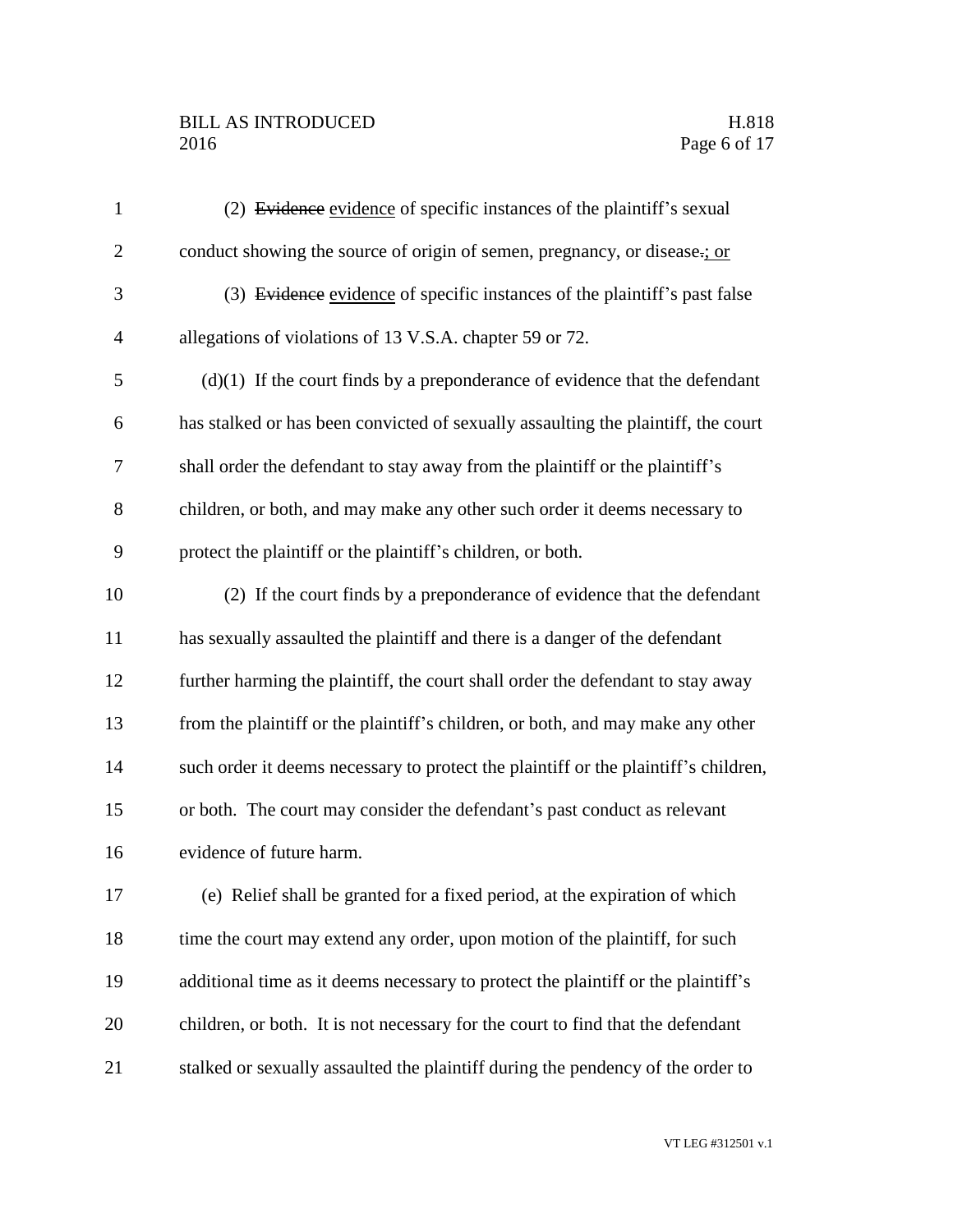# BILL AS INTRODUCED H.818<br>2016 Page 6 of 17

| $\mathbf{1}$   | (2) Evidence evidence of specific instances of the plaintiff's sexual               |
|----------------|-------------------------------------------------------------------------------------|
| $\overline{2}$ | conduct showing the source of origin of semen, pregnancy, or disease.; or           |
| 3              | (3) Evidence evidence of specific instances of the plaintiff's past false           |
| $\overline{4}$ | allegations of violations of 13 V.S.A. chapter 59 or 72.                            |
| 5              | $(d)(1)$ If the court finds by a preponderance of evidence that the defendant       |
| 6              | has stalked or has been convicted of sexually assaulting the plaintiff, the court   |
| 7              | shall order the defendant to stay away from the plaintiff or the plaintiff's        |
| 8              | children, or both, and may make any other such order it deems necessary to          |
| 9              | protect the plaintiff or the plaintiff's children, or both.                         |
| 10             | (2) If the court finds by a preponderance of evidence that the defendant            |
| 11             | has sexually assaulted the plaintiff and there is a danger of the defendant         |
| 12             | further harming the plaintiff, the court shall order the defendant to stay away     |
| 13             | from the plaintiff or the plaintiff's children, or both, and may make any other     |
| 14             | such order it deems necessary to protect the plaintiff or the plaintiff's children, |
| 15             | or both. The court may consider the defendant's past conduct as relevant            |
| 16             | evidence of future harm.                                                            |
| 17             | (e) Relief shall be granted for a fixed period, at the expiration of which          |
| 18             | time the court may extend any order, upon motion of the plaintiff, for such         |
| 19             | additional time as it deems necessary to protect the plaintiff or the plaintiff's   |
| 20             | children, or both. It is not necessary for the court to find that the defendant     |
| 21             | stalked or sexually assaulted the plaintiff during the pendency of the order to     |
|                |                                                                                     |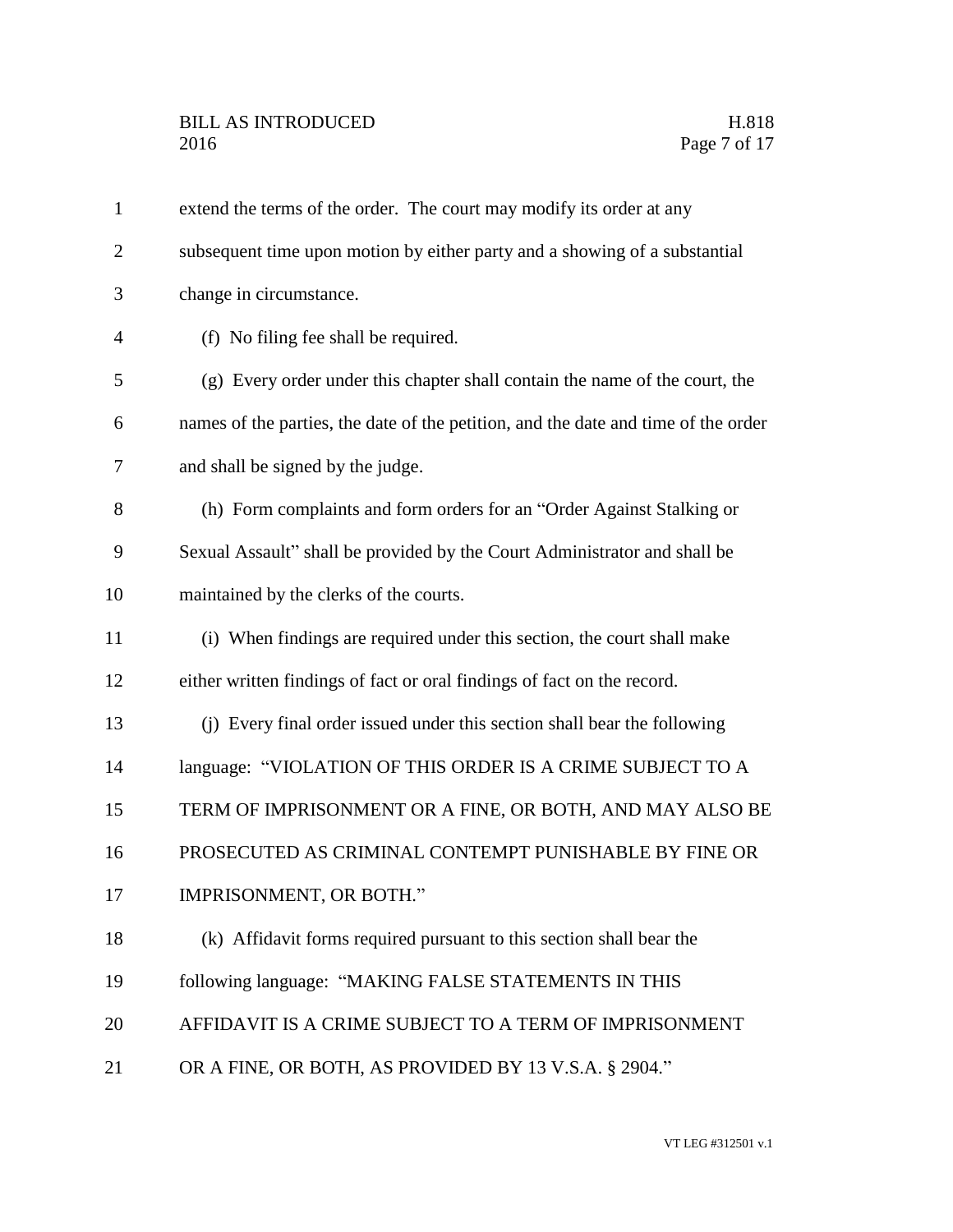| $\mathbf{1}$   | extend the terms of the order. The court may modify its order at any               |
|----------------|------------------------------------------------------------------------------------|
| $\overline{2}$ | subsequent time upon motion by either party and a showing of a substantial         |
| 3              | change in circumstance.                                                            |
| 4              | (f) No filing fee shall be required.                                               |
| 5              | (g) Every order under this chapter shall contain the name of the court, the        |
| 6              | names of the parties, the date of the petition, and the date and time of the order |
| 7              | and shall be signed by the judge.                                                  |
| 8              | (h) Form complaints and form orders for an "Order Against Stalking or              |
| 9              | Sexual Assault" shall be provided by the Court Administrator and shall be          |
| 10             | maintained by the clerks of the courts.                                            |
| 11             | (i) When findings are required under this section, the court shall make            |
| 12             | either written findings of fact or oral findings of fact on the record.            |
| 13             | (j) Every final order issued under this section shall bear the following           |
| 14             | language: "VIOLATION OF THIS ORDER IS A CRIME SUBJECT TO A                         |
| 15             | TERM OF IMPRISONMENT OR A FINE, OR BOTH, AND MAY ALSO BE                           |
| 16             | PROSECUTED AS CRIMINAL CONTEMPT PUNISHABLE BY FINE OR                              |
| 17             | IMPRISONMENT, OR BOTH."                                                            |
| 18             | (k) Affidavit forms required pursuant to this section shall bear the               |
| 19             | following language: "MAKING FALSE STATEMENTS IN THIS                               |
| 20             | AFFIDAVIT IS A CRIME SUBJECT TO A TERM OF IMPRISONMENT                             |
| 21             | OR A FINE, OR BOTH, AS PROVIDED BY 13 V.S.A. § 2904."                              |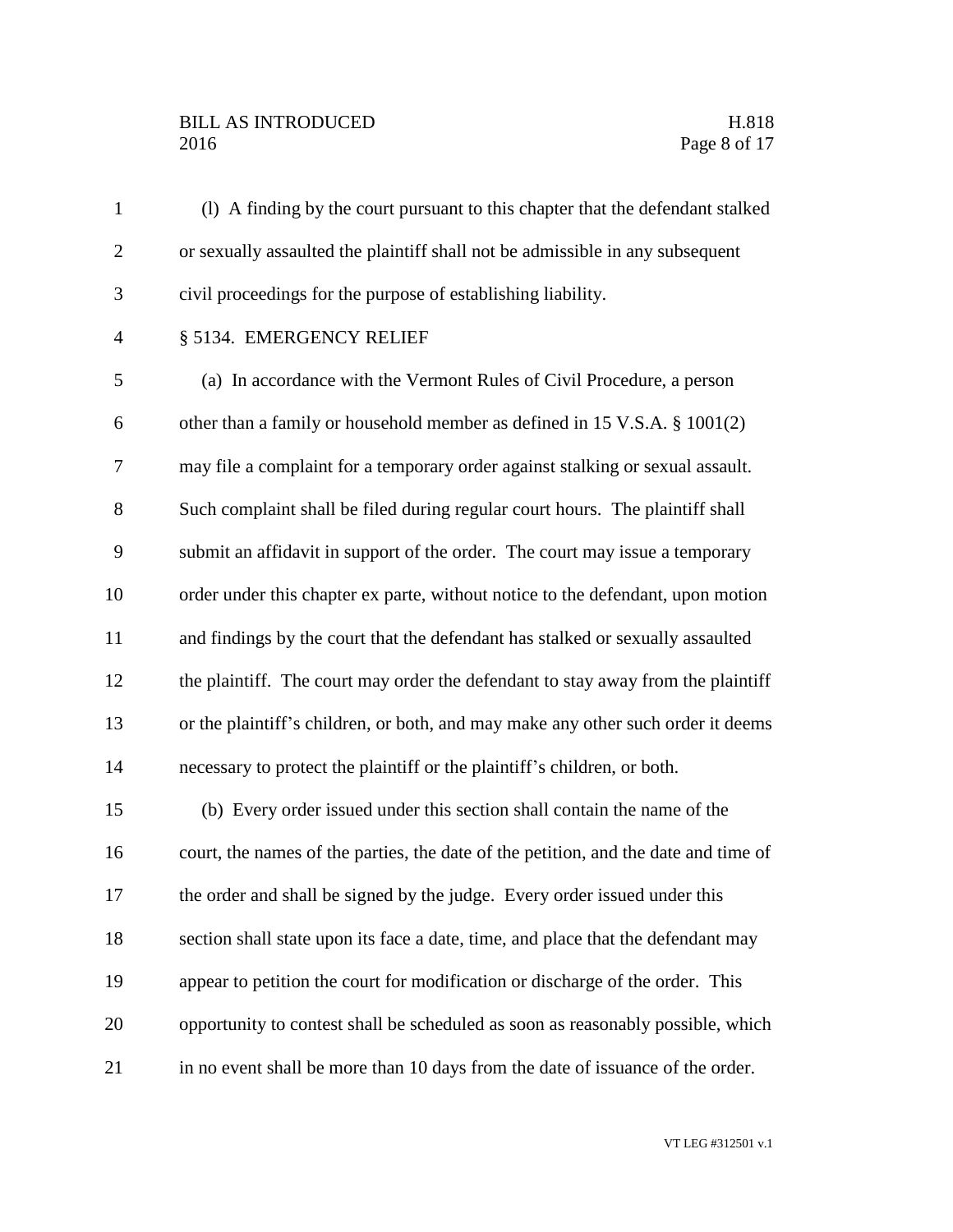# BILL AS INTRODUCED H.818<br>2016 Page 8 of 17

| $\mathbf{1}$   | (1) A finding by the court pursuant to this chapter that the defendant stalked      |
|----------------|-------------------------------------------------------------------------------------|
| $\overline{2}$ | or sexually assaulted the plaintiff shall not be admissible in any subsequent       |
| 3              | civil proceedings for the purpose of establishing liability.                        |
| $\overline{4}$ | § 5134. EMERGENCY RELIEF                                                            |
| 5              | (a) In accordance with the Vermont Rules of Civil Procedure, a person               |
| 6              | other than a family or household member as defined in 15 V.S.A. § 1001(2)           |
| 7              | may file a complaint for a temporary order against stalking or sexual assault.      |
| 8              | Such complaint shall be filed during regular court hours. The plaintiff shall       |
| 9              | submit an affidavit in support of the order. The court may issue a temporary        |
| 10             | order under this chapter ex parte, without notice to the defendant, upon motion     |
| 11             | and findings by the court that the defendant has stalked or sexually assaulted      |
| 12             | the plaintiff. The court may order the defendant to stay away from the plaintiff    |
| 13             | or the plaintiff's children, or both, and may make any other such order it deems    |
| 14             | necessary to protect the plaintiff or the plaintiff's children, or both.            |
| 15             | (b) Every order issued under this section shall contain the name of the             |
| 16             | court, the names of the parties, the date of the petition, and the date and time of |
| 17             | the order and shall be signed by the judge. Every order issued under this           |
| 18             | section shall state upon its face a date, time, and place that the defendant may    |
| 19             | appear to petition the court for modification or discharge of the order. This       |
| 20             | opportunity to contest shall be scheduled as soon as reasonably possible, which     |
| 21             | in no event shall be more than 10 days from the date of issuance of the order.      |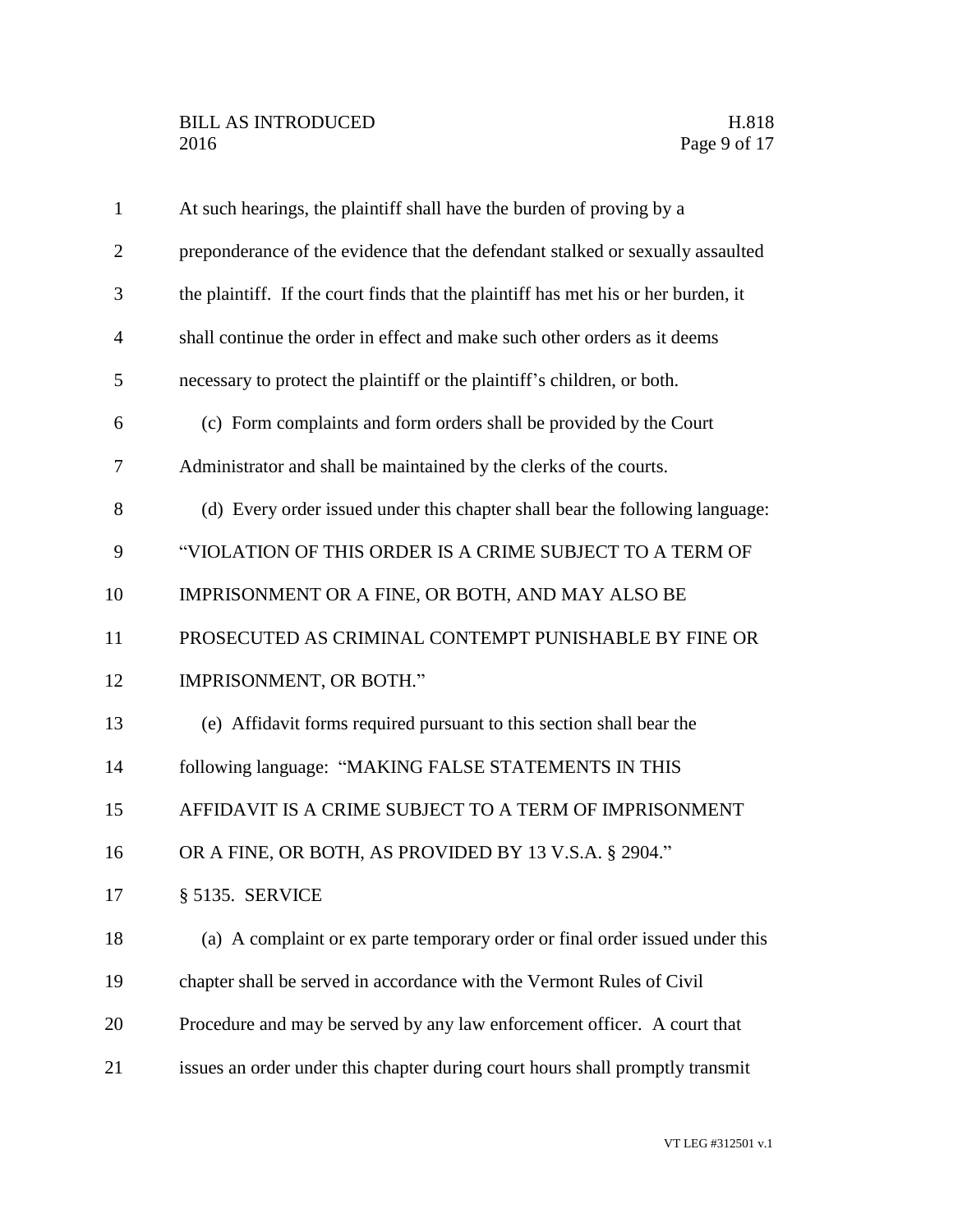| $\mathbf{1}$   | At such hearings, the plaintiff shall have the burden of proving by a              |
|----------------|------------------------------------------------------------------------------------|
| $\overline{2}$ | preponderance of the evidence that the defendant stalked or sexually assaulted     |
| 3              | the plaintiff. If the court finds that the plaintiff has met his or her burden, it |
| $\overline{4}$ | shall continue the order in effect and make such other orders as it deems          |
| 5              | necessary to protect the plaintiff or the plaintiff's children, or both.           |
| 6              | (c) Form complaints and form orders shall be provided by the Court                 |
| $\tau$         | Administrator and shall be maintained by the clerks of the courts.                 |
| 8              | (d) Every order issued under this chapter shall bear the following language:       |
| 9              | "VIOLATION OF THIS ORDER IS A CRIME SUBJECT TO A TERM OF                           |
| 10             | IMPRISONMENT OR A FINE, OR BOTH, AND MAY ALSO BE                                   |
| 11             | PROSECUTED AS CRIMINAL CONTEMPT PUNISHABLE BY FINE OR                              |
| 12             | IMPRISONMENT, OR BOTH."                                                            |
| 13             | (e) Affidavit forms required pursuant to this section shall bear the               |
| 14             | following language: "MAKING FALSE STATEMENTS IN THIS                               |
| 15             | AFFIDAVIT IS A CRIME SUBJECT TO A TERM OF IMPRISONMENT                             |
| 16             | OR A FINE, OR BOTH, AS PROVIDED BY 13 V.S.A. § 2904."                              |
| 17             | § 5135. SERVICE                                                                    |
| 18             | (a) A complaint or ex parte temporary order or final order issued under this       |
| 19             | chapter shall be served in accordance with the Vermont Rules of Civil              |
| 20             | Procedure and may be served by any law enforcement officer. A court that           |
| 21             | issues an order under this chapter during court hours shall promptly transmit      |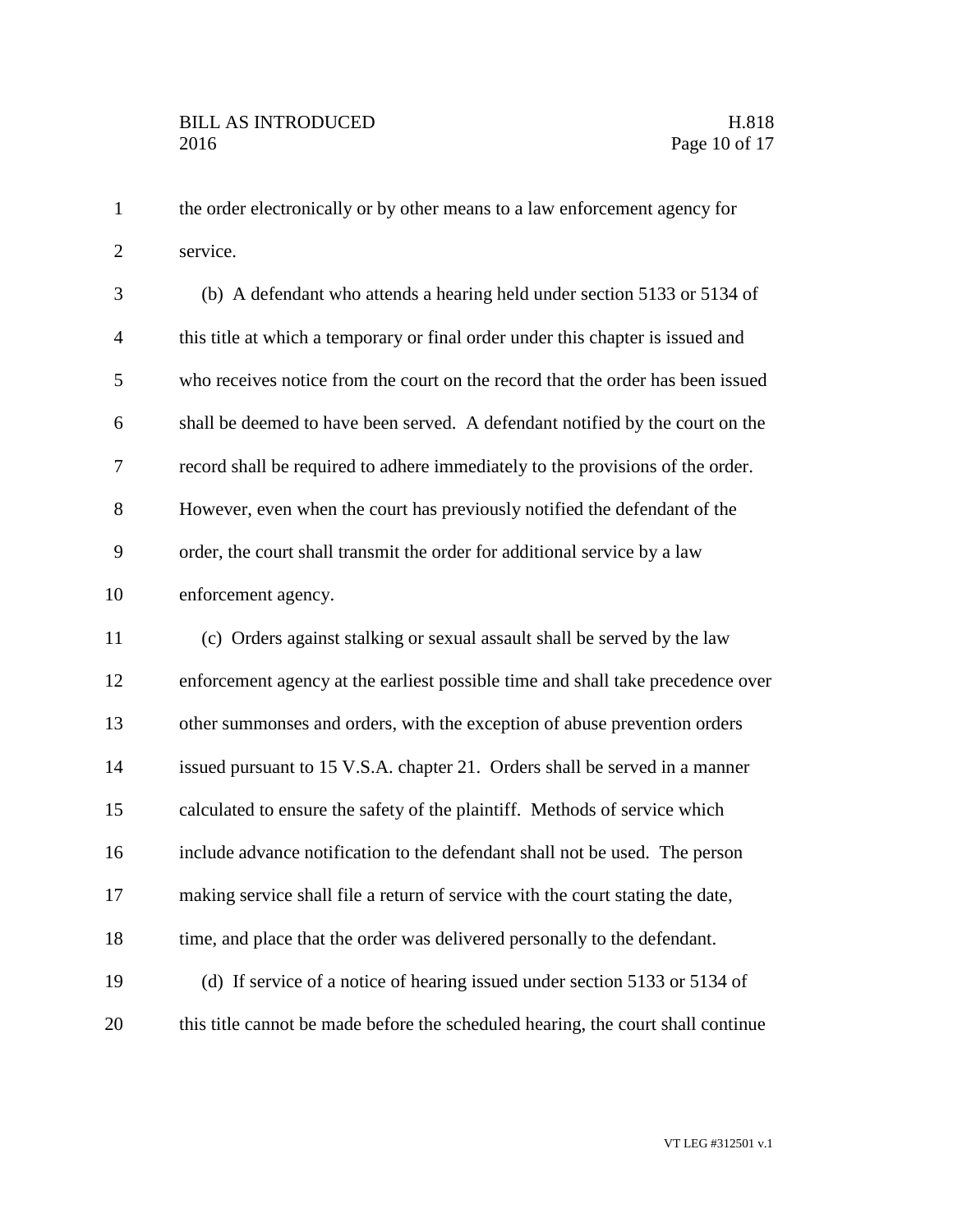the order electronically or by other means to a law enforcement agency for service.

| 3              | (b) A defendant who attends a hearing held under section 5133 or 5134 of         |
|----------------|----------------------------------------------------------------------------------|
| $\overline{4}$ | this title at which a temporary or final order under this chapter is issued and  |
| 5              | who receives notice from the court on the record that the order has been issued  |
| 6              | shall be deemed to have been served. A defendant notified by the court on the    |
| $\tau$         | record shall be required to adhere immediately to the provisions of the order.   |
| $8\,$          | However, even when the court has previously notified the defendant of the        |
| 9              | order, the court shall transmit the order for additional service by a law        |
| 10             | enforcement agency.                                                              |
| 11             | (c) Orders against stalking or sexual assault shall be served by the law         |
| 12             | enforcement agency at the earliest possible time and shall take precedence over  |
| 13             | other summonses and orders, with the exception of abuse prevention orders        |
| 14             | issued pursuant to 15 V.S.A. chapter 21. Orders shall be served in a manner      |
| 15             | calculated to ensure the safety of the plaintiff. Methods of service which       |
| 16             | include advance notification to the defendant shall not be used. The person      |
| 17             | making service shall file a return of service with the court stating the date,   |
| 18             | time, and place that the order was delivered personally to the defendant.        |
| 19             | (d) If service of a notice of hearing issued under section 5133 or 5134 of       |
| 20             | this title cannot be made before the scheduled hearing, the court shall continue |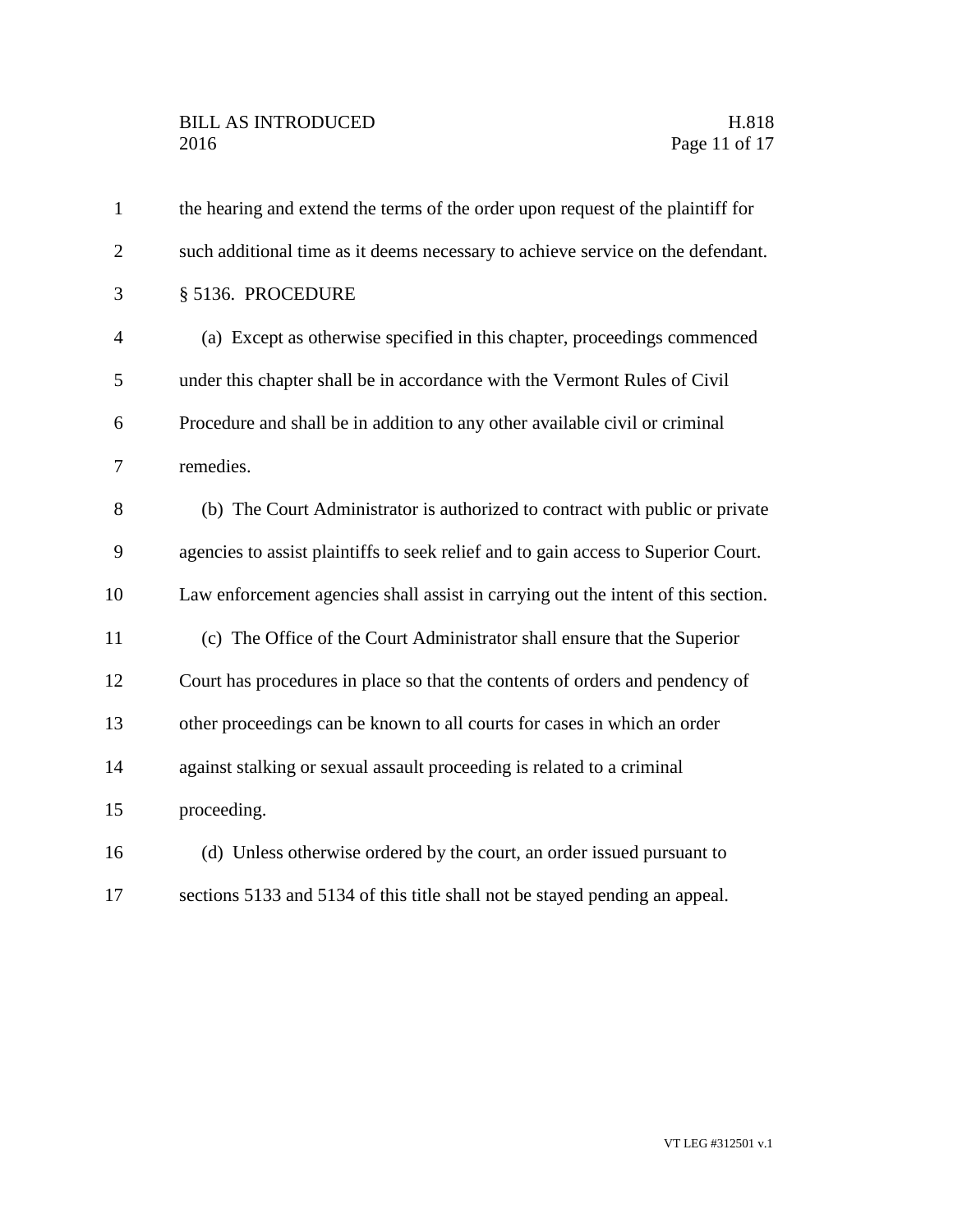| $\mathbf{1}$   | the hearing and extend the terms of the order upon request of the plaintiff for    |
|----------------|------------------------------------------------------------------------------------|
| $\overline{2}$ | such additional time as it deems necessary to achieve service on the defendant.    |
| 3              | § 5136. PROCEDURE                                                                  |
| $\overline{4}$ | (a) Except as otherwise specified in this chapter, proceedings commenced           |
| 5              | under this chapter shall be in accordance with the Vermont Rules of Civil          |
| 6              | Procedure and shall be in addition to any other available civil or criminal        |
| 7              | remedies.                                                                          |
| 8              | (b) The Court Administrator is authorized to contract with public or private       |
| 9              | agencies to assist plaintiffs to seek relief and to gain access to Superior Court. |
| 10             | Law enforcement agencies shall assist in carrying out the intent of this section.  |
| 11             | (c) The Office of the Court Administrator shall ensure that the Superior           |
| 12             | Court has procedures in place so that the contents of orders and pendency of       |
| 13             | other proceedings can be known to all courts for cases in which an order           |
| 14             | against stalking or sexual assault proceeding is related to a criminal             |
| 15             | proceeding.                                                                        |
| 16             | (d) Unless otherwise ordered by the court, an order issued pursuant to             |
| 17             | sections 5133 and 5134 of this title shall not be stayed pending an appeal.        |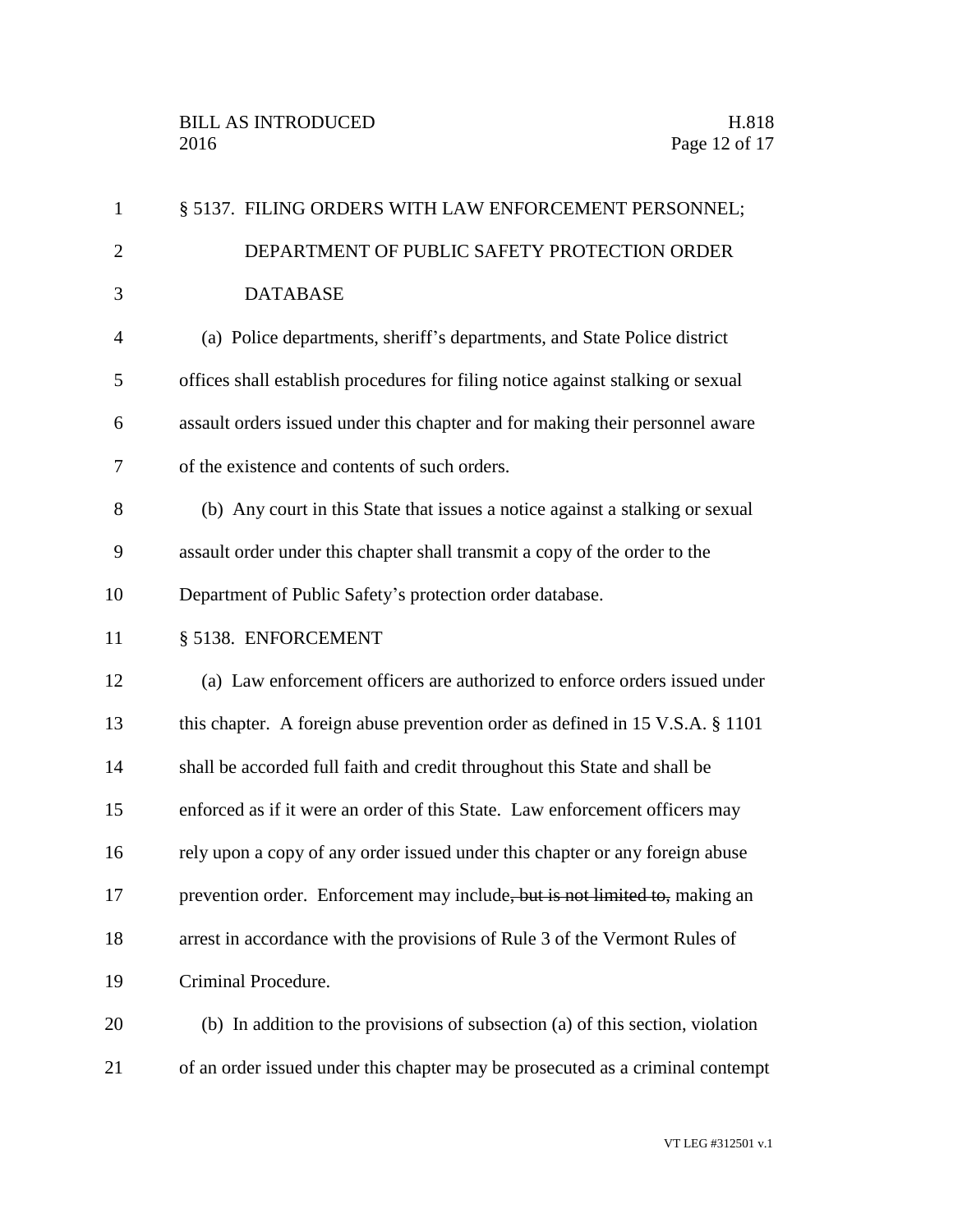| $\mathbf{1}$   | § 5137. FILING ORDERS WITH LAW ENFORCEMENT PERSONNEL;                           |
|----------------|---------------------------------------------------------------------------------|
| $\overline{2}$ | DEPARTMENT OF PUBLIC SAFETY PROTECTION ORDER                                    |
| 3              | <b>DATABASE</b>                                                                 |
| $\overline{4}$ | (a) Police departments, sheriff's departments, and State Police district        |
| 5              | offices shall establish procedures for filing notice against stalking or sexual |
| 6              | assault orders issued under this chapter and for making their personnel aware   |
| $\tau$         | of the existence and contents of such orders.                                   |
| 8              | (b) Any court in this State that issues a notice against a stalking or sexual   |
| 9              | assault order under this chapter shall transmit a copy of the order to the      |
| 10             | Department of Public Safety's protection order database.                        |
| 11             | § 5138. ENFORCEMENT                                                             |
| 12             | (a) Law enforcement officers are authorized to enforce orders issued under      |
| 13             | this chapter. A foreign abuse prevention order as defined in 15 V.S.A. § 1101   |
| 14             | shall be accorded full faith and credit throughout this State and shall be      |
| 15             | enforced as if it were an order of this State. Law enforcement officers may     |
| 16             | rely upon a copy of any order issued under this chapter or any foreign abuse    |
| 17             | prevention order. Enforcement may include, but is not limited to, making an     |
| 18             | arrest in accordance with the provisions of Rule 3 of the Vermont Rules of      |
| 19             | Criminal Procedure.                                                             |
| 20             | (b) In addition to the provisions of subsection (a) of this section, violation  |
| 21             | of an order issued under this chapter may be prosecuted as a criminal contempt  |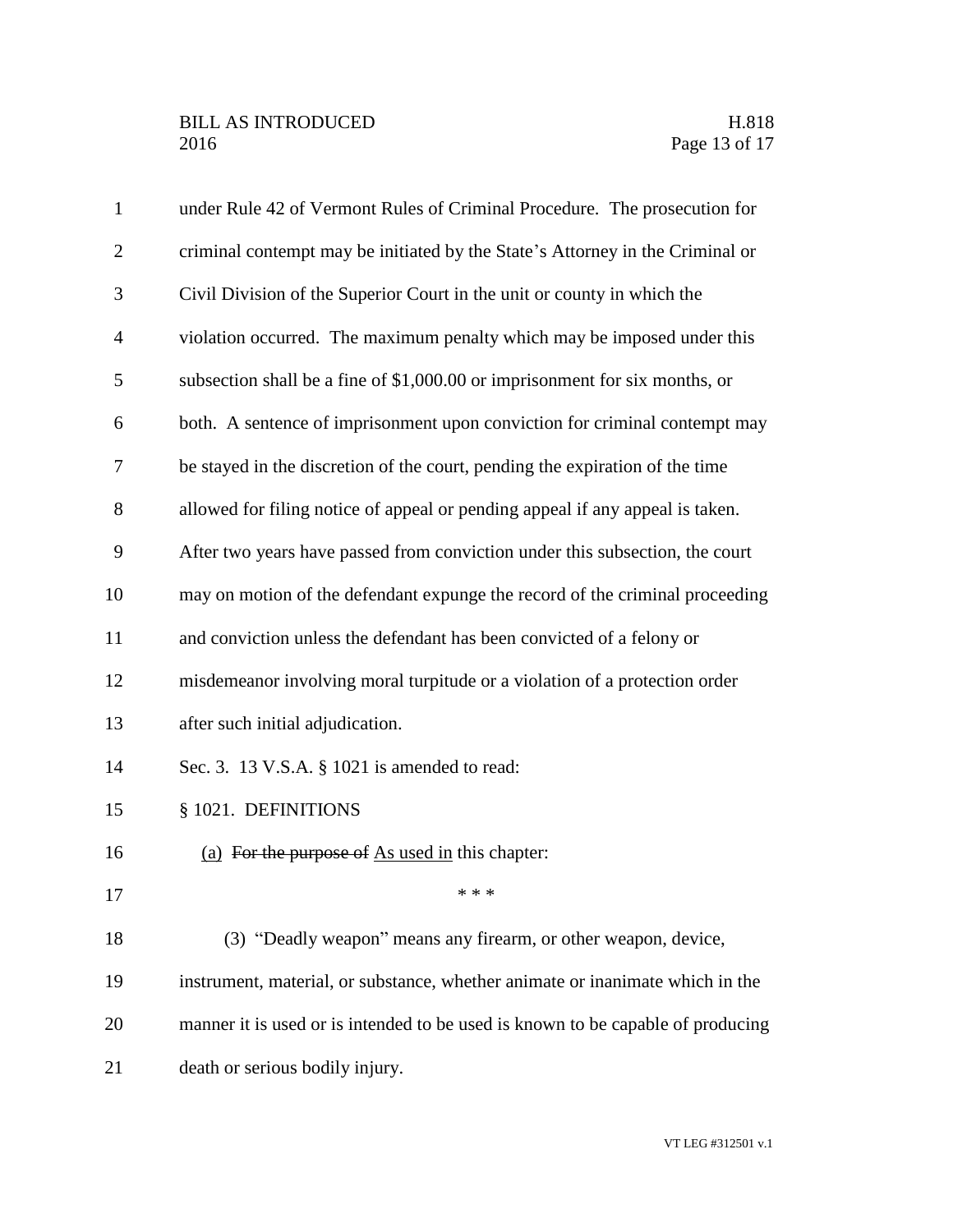| $\mathbf{1}$   | under Rule 42 of Vermont Rules of Criminal Procedure. The prosecution for       |
|----------------|---------------------------------------------------------------------------------|
| $\overline{2}$ | criminal contempt may be initiated by the State's Attorney in the Criminal or   |
| 3              | Civil Division of the Superior Court in the unit or county in which the         |
| $\overline{4}$ | violation occurred. The maximum penalty which may be imposed under this         |
| 5              | subsection shall be a fine of \$1,000.00 or imprisonment for six months, or     |
| 6              | both. A sentence of imprisonment upon conviction for criminal contempt may      |
| $\overline{7}$ | be stayed in the discretion of the court, pending the expiration of the time    |
| 8              | allowed for filing notice of appeal or pending appeal if any appeal is taken.   |
| 9              | After two years have passed from conviction under this subsection, the court    |
| 10             | may on motion of the defendant expunge the record of the criminal proceeding    |
| 11             | and conviction unless the defendant has been convicted of a felony or           |
| 12             | misdemeanor involving moral turpitude or a violation of a protection order      |
| 13             | after such initial adjudication.                                                |
| 14             | Sec. 3. 13 V.S.A. § 1021 is amended to read:                                    |
| 15             | § 1021. DEFINITIONS                                                             |
| 16             | (a) For the purpose of As used in this chapter:                                 |
| 17             | * * *                                                                           |
| 18             | (3) "Deadly weapon" means any firearm, or other weapon, device,                 |
| 19             | instrument, material, or substance, whether animate or inanimate which in the   |
| 20             | manner it is used or is intended to be used is known to be capable of producing |
| 21             | death or serious bodily injury.                                                 |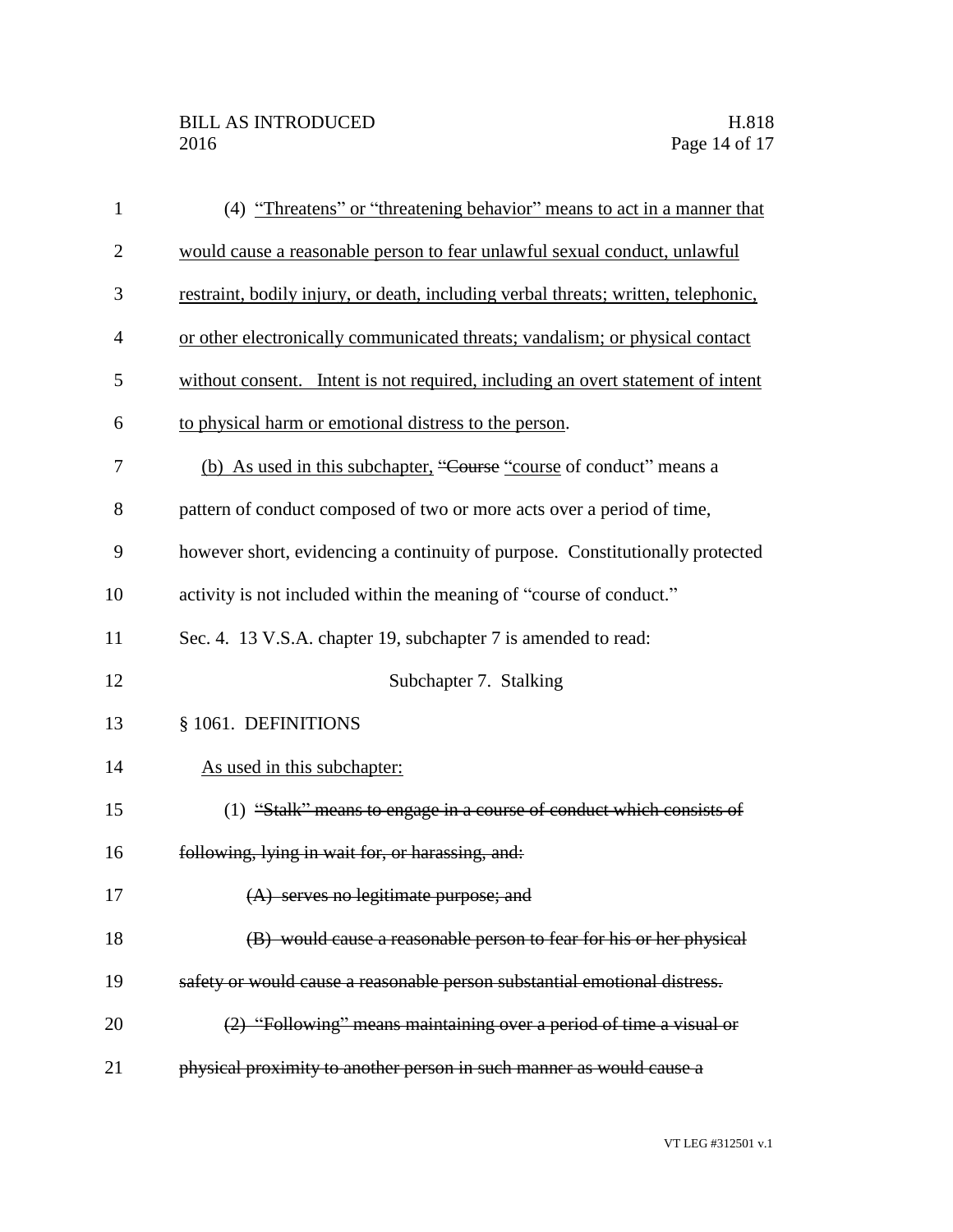| $\mathbf{1}$   | (4) "Threatens" or "threatening behavior" means to act in a manner that            |
|----------------|------------------------------------------------------------------------------------|
| $\overline{2}$ | would cause a reasonable person to fear unlawful sexual conduct, unlawful          |
| 3              | restraint, bodily injury, or death, including verbal threats; written, telephonic, |
| 4              | or other electronically communicated threats; vandalism; or physical contact       |
| 5              | without consent. Intent is not required, including an overt statement of intent    |
| 6              | to physical harm or emotional distress to the person.                              |
| 7              | (b) As used in this subchapter, "Course "course of conduct" means a                |
| 8              | pattern of conduct composed of two or more acts over a period of time,             |
| 9              | however short, evidencing a continuity of purpose. Constitutionally protected      |
| 10             | activity is not included within the meaning of "course of conduct."                |
| 11             | Sec. 4. 13 V.S.A. chapter 19, subchapter 7 is amended to read:                     |
| 12             | Subchapter 7. Stalking                                                             |
| 13             | § 1061. DEFINITIONS                                                                |
| 14             | As used in this subchapter:                                                        |
| 15             | (1) "Stalk" means to engage in a course of conduct which consists of               |
| 16             | following, lying in wait for, or harassing, and:                                   |
|                | (A) serves no legitimate purpose; and                                              |
| 18             | (B) would cause a reasonable person to fear for his or her physical                |
| 19             | safety or would cause a reasonable person substantial emotional distress.          |
| 20             | (2) "Following" means maintaining over a period of time a visual or                |
| 21             | physical proximity to another person in such manner as would cause a               |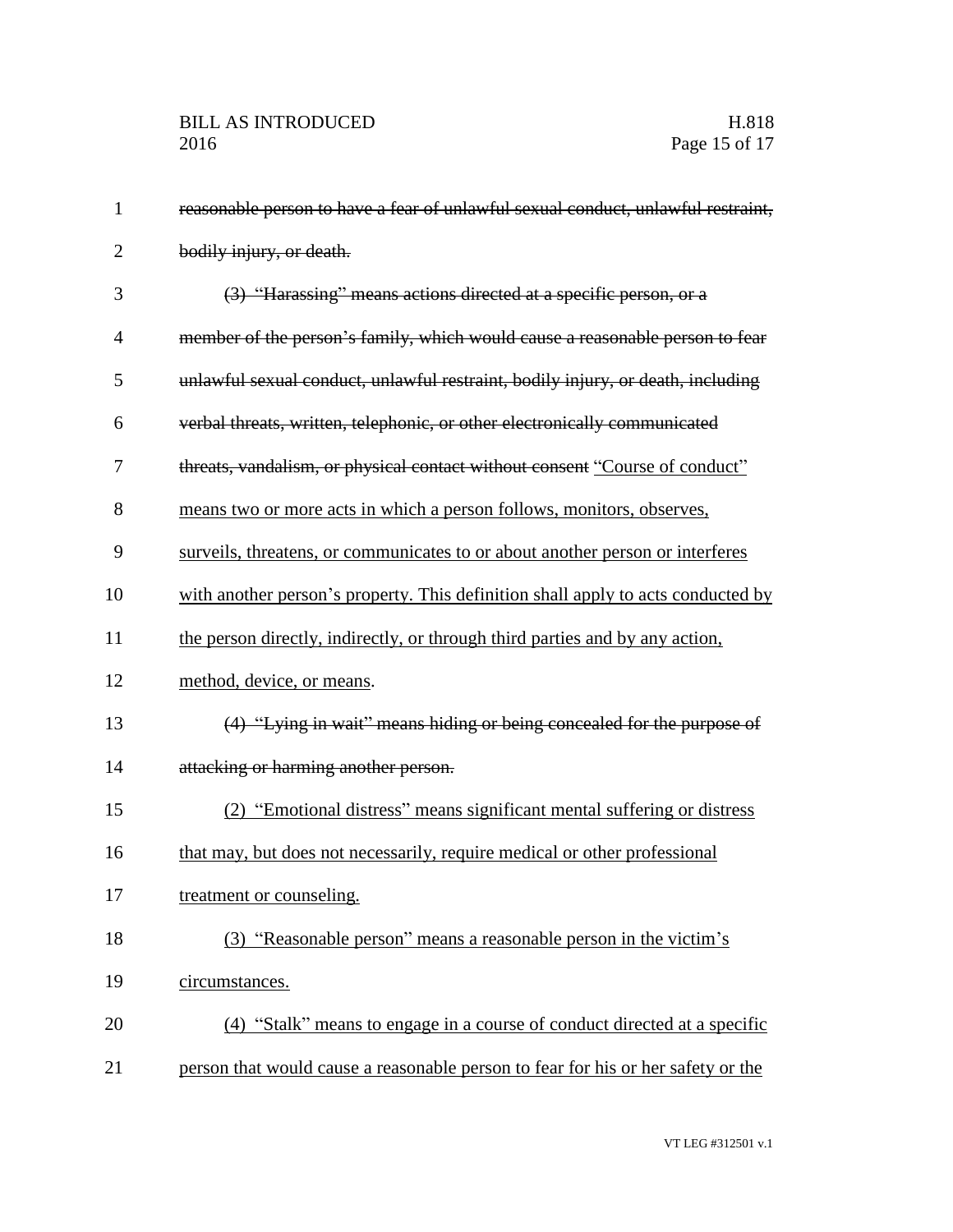| 1              | reasonable person to have a fear of unlawful sexual conduct, unlawful restraint, |
|----------------|----------------------------------------------------------------------------------|
| $\overline{2}$ | bodily injury, or death.                                                         |
| 3              | (3) "Harassing" means actions directed at a specific person, or a                |
| $\overline{4}$ | member of the person's family, which would cause a reasonable person to fear     |
| 5              | unlawful sexual conduct, unlawful restraint, bodily injury, or death, including  |
| 6              | verbal threats, written, telephonic, or other electronically communicated        |
| 7              | threats, vandalism, or physical contact without consent "Course of conduct"      |
| 8              | means two or more acts in which a person follows, monitors, observes,            |
| 9              | surveils, threatens, or communicates to or about another person or interferes    |
| 10             | with another person's property. This definition shall apply to acts conducted by |
| 11             | the person directly, indirectly, or through third parties and by any action,     |
| 12             | method, device, or means.                                                        |
| 13             | (4) "Lying in wait" means hiding or being concealed for the purpose of           |
| 14             | attacking or harming another person.                                             |
| 15             | (2) "Emotional distress" means significant mental suffering or distress          |
| 16             | that may, but does not necessarily, require medical or other professional        |
| 17             | treatment or counseling.                                                         |
| 18             | (3) "Reasonable person" means a reasonable person in the victim's                |
| 19             | circumstances.                                                                   |
| 20             | (4) "Stalk" means to engage in a course of conduct directed at a specific        |
| 21             | person that would cause a reasonable person to fear for his or her safety or the |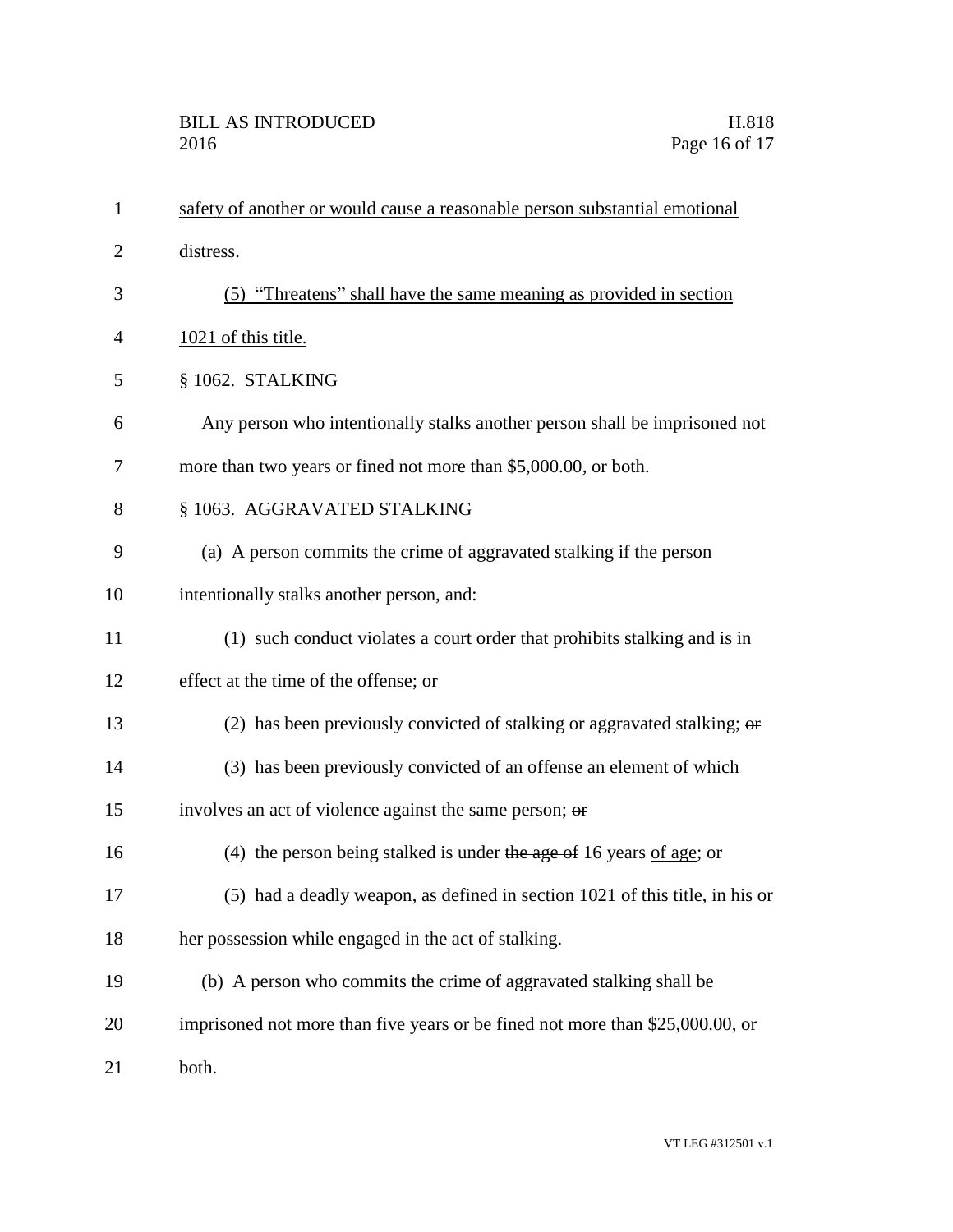| $\mathbf{1}$   | safety of another or would cause a reasonable person substantial emotional    |
|----------------|-------------------------------------------------------------------------------|
| $\overline{2}$ | distress.                                                                     |
| 3              | (5) "Threatens" shall have the same meaning as provided in section            |
| 4              | 1021 of this title.                                                           |
| 5              | § 1062. STALKING                                                              |
| 6              | Any person who intentionally stalks another person shall be imprisoned not    |
| 7              | more than two years or fined not more than \$5,000.00, or both.               |
| 8              | § 1063. AGGRAVATED STALKING                                                   |
| 9              | (a) A person commits the crime of aggravated stalking if the person           |
| 10             | intentionally stalks another person, and:                                     |
| 11             | (1) such conduct violates a court order that prohibits stalking and is in     |
| 12             | effect at the time of the offense; or                                         |
| 13             | (2) has been previously convicted of stalking or aggravated stalking; or      |
| 14             | (3) has been previously convicted of an offense an element of which           |
| 15             | involves an act of violence against the same person; or                       |
| 16             | (4) the person being stalked is under the age of 16 years of age; or          |
| 17             | (5) had a deadly weapon, as defined in section 1021 of this title, in his or  |
| 18             | her possession while engaged in the act of stalking.                          |
| 19             | (b) A person who commits the crime of aggravated stalking shall be            |
| 20             | imprisoned not more than five years or be fined not more than \$25,000.00, or |
| 21             | both.                                                                         |